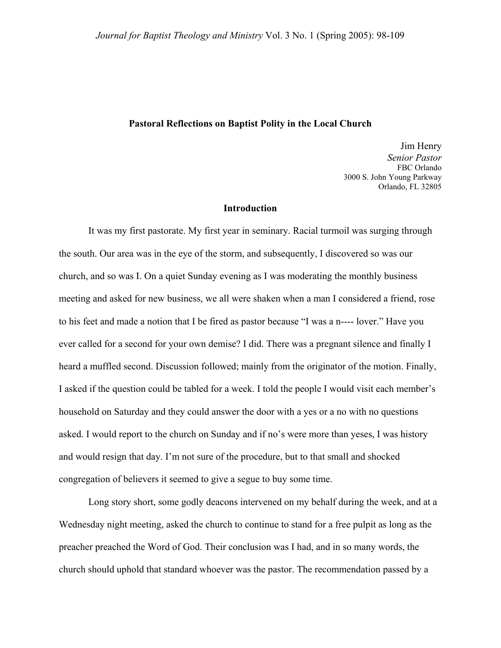#### **Pastoral Reflections on Baptist Polity in the Local Church**

Jim Henry *Senior Pastor*  FBC Orlando 3000 S. John Young Parkway Orlando, FL 32805

# **Introduction**

It was my first pastorate. My first year in seminary. Racial turmoil was surging through the south. Our area was in the eye of the storm, and subsequently, I discovered so was our church, and so was I. On a quiet Sunday evening as I was moderating the monthly business meeting and asked for new business, we all were shaken when a man I considered a friend, rose to his feet and made a notion that I be fired as pastor because "I was a n---- lover." Have you ever called for a second for your own demise? I did. There was a pregnant silence and finally I heard a muffled second. Discussion followed; mainly from the originator of the motion. Finally, I asked if the question could be tabled for a week. I told the people I would visit each member's household on Saturday and they could answer the door with a yes or a no with no questions asked. I would report to the church on Sunday and if no's were more than yeses, I was history and would resign that day. I'm not sure of the procedure, but to that small and shocked congregation of believers it seemed to give a segue to buy some time.

Long story short, some godly deacons intervened on my behalf during the week, and at a Wednesday night meeting, asked the church to continue to stand for a free pulpit as long as the preacher preached the Word of God. Their conclusion was I had, and in so many words, the church should uphold that standard whoever was the pastor. The recommendation passed by a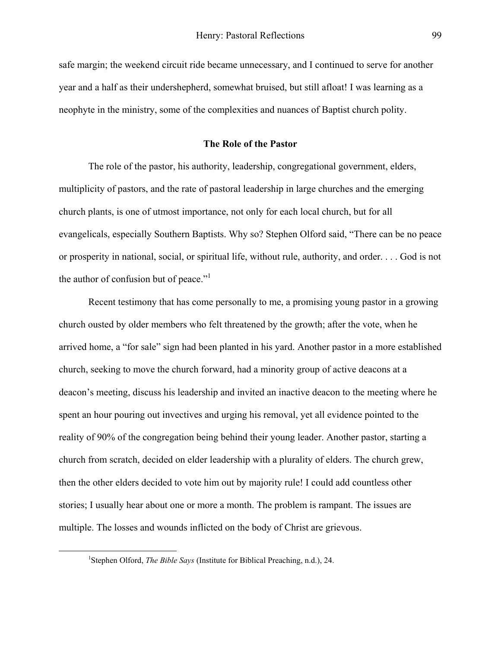safe margin; the weekend circuit ride became unnecessary, and I continued to serve for another year and a half as their undershepherd, somewhat bruised, but still afloat! I was learning as a neophyte in the ministry, some of the complexities and nuances of Baptist church polity.

## **The Role of the Pastor**

The role of the pastor, his authority, leadership, congregational government, elders, multiplicity of pastors, and the rate of pastoral leadership in large churches and the emerging church plants, is one of utmost importance, not only for each local church, but for all evangelicals, especially Southern Baptists. Why so? Stephen Olford said, "There can be no peace or prosperity in national, social, or spiritual life, without rule, authority, and order. . . . God is not the author of confusion but of peace."<sup>[1](#page-1-0)</sup>

Recent testimony that has come personally to me, a promising young pastor in a growing church ousted by older members who felt threatened by the growth; after the vote, when he arrived home, a "for sale" sign had been planted in his yard. Another pastor in a more established church, seeking to move the church forward, had a minority group of active deacons at a deacon's meeting, discuss his leadership and invited an inactive deacon to the meeting where he spent an hour pouring out invectives and urging his removal, yet all evidence pointed to the reality of 90% of the congregation being behind their young leader. Another pastor, starting a church from scratch, decided on elder leadership with a plurality of elders. The church grew, then the other elders decided to vote him out by majority rule! I could add countless other stories; I usually hear about one or more a month. The problem is rampant. The issues are multiple. The losses and wounds inflicted on the body of Christ are grievous.

<span id="page-1-0"></span> $\frac{1}{1}$ Stephen Olford, *The Bible Says* (Institute for Biblical Preaching, n.d.), 24.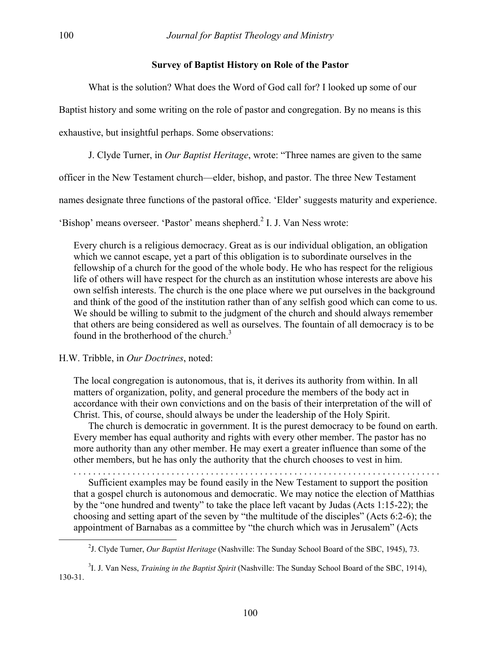#### **Survey of Baptist History on Role of the Pastor**

What is the solution? What does the Word of God call for? I looked up some of our

Baptist history and some writing on the role of pastor and congregation. By no means is this

exhaustive, but insightful perhaps. Some observations:

J. Clyde Turner, in *Our Baptist Heritage*, wrote: "Three names are given to the same

officer in the New Testament church—elder, bishop, and pastor. The three New Testament

names designate three functions of the pastoral office. 'Elder' suggests maturity and experience.

'Bishop' means overseer. 'Pastor' means shepherd.<sup>[2](#page-2-0)</sup> I. J. Van Ness wrote:

Every church is a religious democracy. Great as is our individual obligation, an obligation which we cannot escape, yet a part of this obligation is to subordinate ourselves in the fellowship of a church for the good of the whole body. He who has respect for the religious life of others will have respect for the church as an institution whose interests are above his own selfish interests. The church is the one place where we put ourselves in the background and think of the good of the institution rather than of any selfish good which can come to us. We should be willing to submit to the judgment of the church and should always remember that others are being considered as well as ourselves. The fountain of all democracy is to be found in the brotherhood of the church.<sup>3</sup>

H.W. Tribble, in *Our Doctrines*, noted:

The local congregation is autonomous, that is, it derives its authority from within. In all matters of organization, polity, and general procedure the members of the body act in accordance with their own convictions and on the basis of their interpretation of the will of Christ. This, of course, should always be under the leadership of the Holy Spirit.

The church is democratic in government. It is the purest democracy to be found on earth. Every member has equal authority and rights with every other member. The pastor has no more authority than any other member. He may exert a greater influence than some of the other members, but he has only the authority that the church chooses to vest in him.

. . . . . . . . . . . . . . . . . . . . . . . . . . . . . . . . . . . . . . . . . . . . . . . . . . . . . . . . . . . . . . . . . . . . . . . . . . .

Sufficient examples may be found easily in the New Testament to support the position that a gospel church is autonomous and democratic. We may notice the election of Matthias by the "one hundred and twenty" to take the place left vacant by Judas (Acts 1:15-22); the choosing and setting apart of the seven by "the multitude of the disciples" (Acts 6:2-6); the appointment of Barnabas as a committee by "the church which was in Jerusalem" (Acts

<span id="page-2-0"></span> $\frac{1}{2}$ <sup>2</sup>J. Clyde Turner, *Our Baptist Heritage* (Nashville: The Sunday School Board of the SBC, 1945), 73.

<span id="page-2-1"></span><sup>3</sup> I. J. Van Ness, *Training in the Baptist Spirit* (Nashville: The Sunday School Board of the SBC, 1914), 130-31.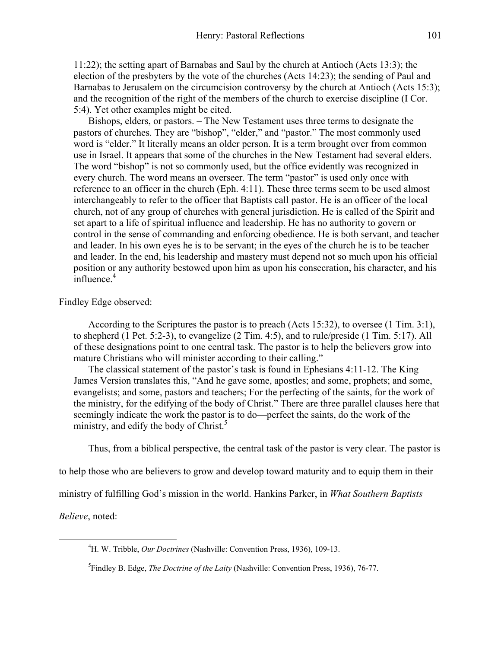11:22); the setting apart of Barnabas and Saul by the church at Antioch (Acts 13:3); the election of the presbyters by the vote of the churches (Acts 14:23); the sending of Paul and Barnabas to Jerusalem on the circumcision controversy by the church at Antioch (Acts 15:3); and the recognition of the right of the members of the church to exercise discipline (I Cor. 5:4). Yet other examples might be cited.

Bishops, elders, or pastors. – The New Testament uses three terms to designate the pastors of churches. They are "bishop", "elder," and "pastor." The most commonly used word is "elder." It literally means an older person. It is a term brought over from common use in Israel. It appears that some of the churches in the New Testament had several elders. The word "bishop" is not so commonly used, but the office evidently was recognized in every church. The word means an overseer. The term "pastor" is used only once with reference to an officer in the church (Eph. 4:11). These three terms seem to be used almost interchangeably to refer to the officer that Baptists call pastor. He is an officer of the local church, not of any group of churches with general jurisdiction. He is called of the Spirit and set apart to a life of spiritual influence and leadership. He has no authority to govern or control in the sense of commanding and enforcing obedience. He is both servant, and teacher and leader. In his own eyes he is to be servant; in the eyes of the church he is to be teacher and leader. In the end, his leadership and mastery must depend not so much upon his official position or any authority bestowed upon him as upon his consecration, his character, and his influence.<sup>[4](#page-3-0)</sup>

Findley Edge observed:

According to the Scriptures the pastor is to preach (Acts 15:32), to oversee (1 Tim. 3:1), to shepherd (1 Pet. 5:2-3), to evangelize (2 Tim. 4:5), and to rule/preside (1 Tim. 5:17). All of these designations point to one central task. The pastor is to help the believers grow into mature Christians who will minister according to their calling."

The classical statement of the pastor's task is found in Ephesians 4:11-12. The King James Version translates this, "And he gave some, apostles; and some, prophets; and some, evangelists; and some, pastors and teachers; For the perfecting of the saints, for the work of the ministry, for the edifying of the body of Christ." There are three parallel clauses here that seemingly indicate the work the pastor is to do—perfect the saints, do the work of the ministry, and edify the body of Christ.<sup>[5](#page-3-1)</sup>

Thus, from a biblical perspective, the central task of the pastor is very clear. The pastor is

to help those who are believers to grow and develop toward maturity and to equip them in their

ministry of fulfilling God's mission in the world. Hankins Parker, in *What Southern Baptists* 

*Believe*, noted:

 $\frac{1}{4}$ <sup>4</sup>H. W. Tribble, *Our Doctrines* (Nashville: Convention Press, 1936), 109-13.

<span id="page-3-1"></span><span id="page-3-0"></span><sup>5</sup> Findley B. Edge, *The Doctrine of the Laity* (Nashville: Convention Press, 1936), 76-77.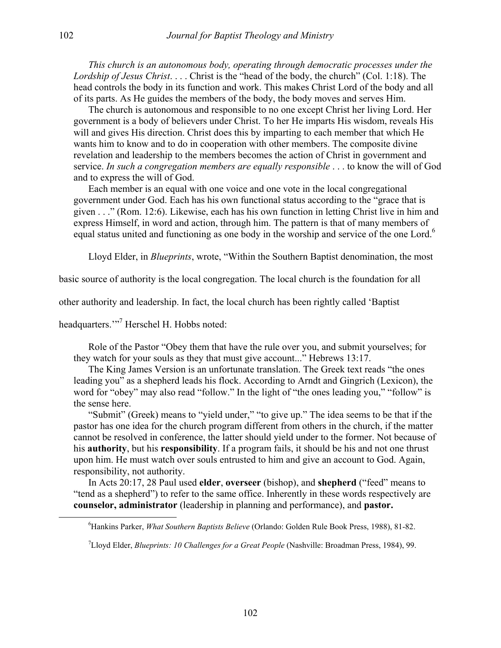*This church is an autonomous body, operating through democratic processes under the Lordship of Jesus Christ*. . . . Christ is the "head of the body, the church" (Col. 1:18). The head controls the body in its function and work. This makes Christ Lord of the body and all of its parts. As He guides the members of the body, the body moves and serves Him.

The church is autonomous and responsible to no one except Christ her living Lord. Her government is a body of believers under Christ. To her He imparts His wisdom, reveals His will and gives His direction. Christ does this by imparting to each member that which He wants him to know and to do in cooperation with other members. The composite divine revelation and leadership to the members becomes the action of Christ in government and service. *In such a congregation members are equally responsible* . . . to know the will of God and to express the will of God.

Each member is an equal with one voice and one vote in the local congregational government under God. Each has his own functional status according to the "grace that is given . . ." (Rom. 12:6). Likewise, each has his own function in letting Christ live in him and express Himself, in word and action, through him. The pattern is that of many members of equal status united and functioning as one body in the worship and service of the one Lord.<sup>6</sup>

Lloyd Elder, in *Blueprints*, wrote, "Within the Southern Baptist denomination, the most

basic source of authority is the local congregation. The local church is the foundation for all

other authority and leadership. In fact, the local church has been rightly called 'Baptist

headquarters."<sup>[7](#page-4-1)</sup> Herschel H. Hobbs noted:

Role of the Pastor "Obey them that have the rule over you, and submit yourselves; for they watch for your souls as they that must give account..." Hebrews 13:17.

The King James Version is an unfortunate translation. The Greek text reads "the ones leading you" as a shepherd leads his flock. According to Arndt and Gingrich (Lexicon), the word for "obey" may also read "follow." In the light of "the ones leading you," "follow" is the sense here.

"Submit" (Greek) means to "yield under," "to give up." The idea seems to be that if the pastor has one idea for the church program different from others in the church, if the matter cannot be resolved in conference, the latter should yield under to the former. Not because of his **authority**, but his **responsibility**. If a program fails, it should be his and not one thrust upon him. He must watch over souls entrusted to him and give an account to God. Again, responsibility, not authority.

In Acts 20:17, 28 Paul used **elder**, **overseer** (bishop), and **shepherd** ("feed" means to "tend as a shepherd") to refer to the same office. Inherently in these words respectively are **counselor, administrator** (leadership in planning and performance), and **pastor.**

 <sup>6</sup> Hankins Parker, *What Southern Baptists Believe* (Orlando: Golden Rule Book Press, 1988), 81-82.

<span id="page-4-1"></span><span id="page-4-0"></span><sup>7</sup> Lloyd Elder, *Blueprints: 10 Challenges for a Great People* (Nashville: Broadman Press, 1984), 99.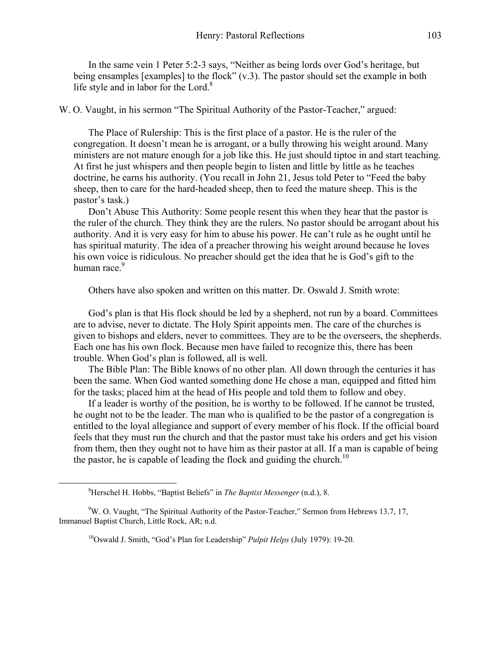In the same vein 1 Peter 5:2-3 says, "Neither as being lords over God's heritage, but being ensamples [examples] to the flock" (v.3). The pastor should set the example in both life style and in labor for the Lord. $8$ 

## W. O. Vaught, in his sermon "The Spiritual Authority of the Pastor-Teacher," argued:

The Place of Rulership: This is the first place of a pastor. He is the ruler of the congregation. It doesn't mean he is arrogant, or a bully throwing his weight around. Many ministers are not mature enough for a job like this. He just should tiptoe in and start teaching. At first he just whispers and then people begin to listen and little by little as he teaches doctrine, he earns his authority. (You recall in John 21, Jesus told Peter to "Feed the baby sheep, then to care for the hard-headed sheep, then to feed the mature sheep. This is the pastor's task.)

Don't Abuse This Authority: Some people resent this when they hear that the pastor is the ruler of the church. They think they are the rulers. No pastor should be arrogant about his authority. And it is very easy for him to abuse his power. He can't rule as he ought until he has spiritual maturity. The idea of a preacher throwing his weight around because he loves his own voice is ridiculous. No preacher should get the idea that he is God's gift to the human race<sup>[9](#page-5-1)</sup>

Others have also spoken and written on this matter. Dr. Oswald J. Smith wrote:

God's plan is that His flock should be led by a shepherd, not run by a board. Committees are to advise, never to dictate. The Holy Spirit appoints men. The care of the churches is given to bishops and elders, never to committees. They are to be the overseers, the shepherds. Each one has his own flock. Because men have failed to recognize this, there has been trouble. When God's plan is followed, all is well.

The Bible Plan: The Bible knows of no other plan. All down through the centuries it has been the same. When God wanted something done He chose a man, equipped and fitted him for the tasks; placed him at the head of His people and told them to follow and obey.

If a leader is worthy of the position, he is worthy to be followed. If he cannot be trusted, he ought not to be the leader. The man who is qualified to be the pastor of a congregation is entitled to the loyal allegiance and support of every member of his flock. If the official board feels that they must run the church and that the pastor must take his orders and get his vision from them, then they ought not to have him as their pastor at all. If a man is capable of being the pastor, he is capable of leading the flock and guiding the church.<sup>10</sup>

<span id="page-5-0"></span> $\frac{1}{8}$ Herschel H. Hobbs, "Baptist Beliefs" in *The Baptist Messenger* (n.d.), 8.

 $9W$ . O. Vaught, "The Spiritual Authority of the Pastor-Teacher," Sermon from Hebrews 13.7, 17, Immanuel Baptist Church, Little Rock, AR; n.d.

<span id="page-5-2"></span><span id="page-5-1"></span><sup>10</sup>Oswald J. Smith, "God's Plan for Leadership" *Pulpit Helps* (July 1979): 19-20.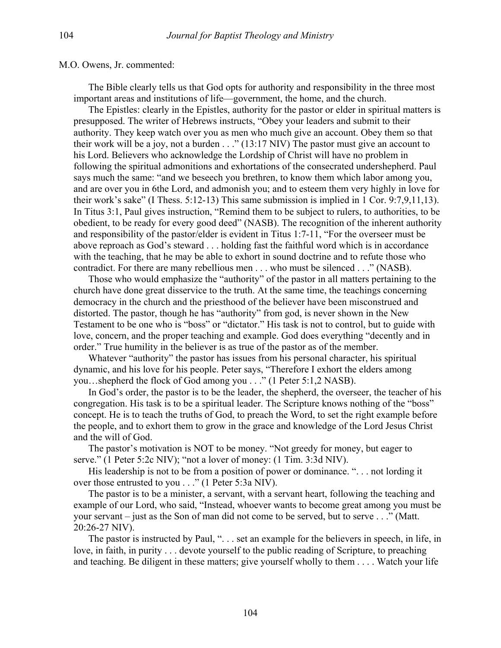M.O. Owens, Jr. commented:

The Bible clearly tells us that God opts for authority and responsibility in the three most important areas and institutions of life—government, the home, and the church.

The Epistles: clearly in the Epistles, authority for the pastor or elder in spiritual matters is presupposed. The writer of Hebrews instructs, "Obey your leaders and submit to their authority. They keep watch over you as men who much give an account. Obey them so that their work will be a joy, not a burden . . ." (13:17 NIV) The pastor must give an account to his Lord. Believers who acknowledge the Lordship of Christ will have no problem in following the spiritual admonitions and exhortations of the consecrated undershepherd. Paul says much the same: "and we beseech you brethren, to know them which labor among you, and are over you in 6the Lord, and admonish you; and to esteem them very highly in love for their work's sake" (I Thess. 5:12-13) This same submission is implied in 1 Cor. 9:7,9,11,13). In Titus 3:1, Paul gives instruction, "Remind them to be subject to rulers, to authorities, to be obedient, to be ready for every good deed" (NASB). The recognition of the inherent authority and responsibility of the pastor/elder is evident in Titus 1:7-11, "For the overseer must be above reproach as God's steward . . . holding fast the faithful word which is in accordance with the teaching, that he may be able to exhort in sound doctrine and to refute those who contradict. For there are many rebellious men . . . who must be silenced . . ." (NASB).

Those who would emphasize the "authority" of the pastor in all matters pertaining to the church have done great disservice to the truth. At the same time, the teachings concerning democracy in the church and the priesthood of the believer have been misconstrued and distorted. The pastor, though he has "authority" from god, is never shown in the New Testament to be one who is "boss" or "dictator." His task is not to control, but to guide with love, concern, and the proper teaching and example. God does everything "decently and in order." True humility in the believer is as true of the pastor as of the member.

Whatever "authority" the pastor has issues from his personal character, his spiritual dynamic, and his love for his people. Peter says, "Therefore I exhort the elders among you…shepherd the flock of God among you . . ." (1 Peter 5:1,2 NASB).

In God's order, the pastor is to be the leader, the shepherd, the overseer, the teacher of his congregation. His task is to be a spiritual leader. The Scripture knows nothing of the "boss" concept. He is to teach the truths of God, to preach the Word, to set the right example before the people, and to exhort them to grow in the grace and knowledge of the Lord Jesus Christ and the will of God.

The pastor's motivation is NOT to be money. "Not greedy for money, but eager to serve." (1 Peter 5:2c NIV); "not a lover of money: (1 Tim. 3:3d NIV).

His leadership is not to be from a position of power or dominance. ". . . not lording it over those entrusted to you . . ." (1 Peter 5:3a NIV).

The pastor is to be a minister, a servant, with a servant heart, following the teaching and example of our Lord, who said, "Instead, whoever wants to become great among you must be your servant – just as the Son of man did not come to be served, but to serve . . ." (Matt. 20:26-27 NIV).

The pastor is instructed by Paul, ". . . set an example for the believers in speech, in life, in love, in faith, in purity . . . devote yourself to the public reading of Scripture, to preaching and teaching. Be diligent in these matters; give yourself wholly to them . . . . Watch your life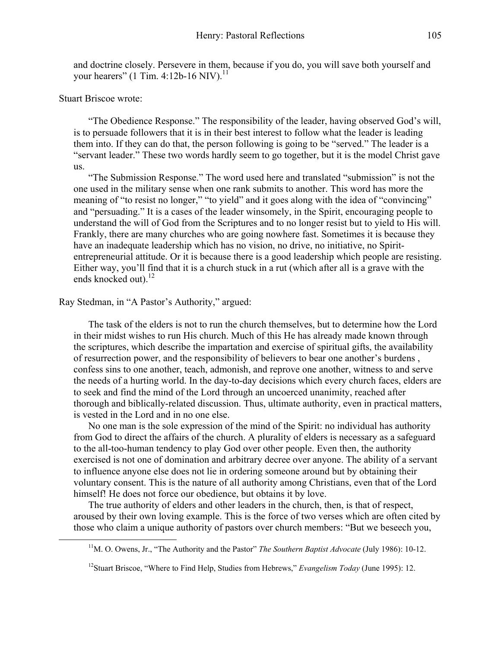and doctrine closely. Persevere in them, because if you do, you will save both yourself and your hearers" (1 Tim. 4:12b-16 NIV).<sup>[11](#page-7-0)</sup>

#### Stuart Briscoe wrote:

"The Obedience Response." The responsibility of the leader, having observed God's will, is to persuade followers that it is in their best interest to follow what the leader is leading them into. If they can do that, the person following is going to be "served." The leader is a "servant leader." These two words hardly seem to go together, but it is the model Christ gave us.

"The Submission Response." The word used here and translated "submission" is not the one used in the military sense when one rank submits to another. This word has more the meaning of "to resist no longer," "to yield" and it goes along with the idea of "convincing" and "persuading." It is a cases of the leader winsomely, in the Spirit, encouraging people to understand the will of God from the Scriptures and to no longer resist but to yield to His will. Frankly, there are many churches who are going nowhere fast. Sometimes it is because they have an inadequate leadership which has no vision, no drive, no initiative, no Spiritentrepreneurial attitude. Or it is because there is a good leadership which people are resisting. Either way, you'll find that it is a church stuck in a rut (which after all is a grave with the ends knocked out).<sup>12</sup>

Ray Stedman, in "A Pastor's Authority," argued:

The task of the elders is not to run the church themselves, but to determine how the Lord in their midst wishes to run His church. Much of this He has already made known through the scriptures, which describe the impartation and exercise of spiritual gifts, the availability of resurrection power, and the responsibility of believers to bear one another's burdens , confess sins to one another, teach, admonish, and reprove one another, witness to and serve the needs of a hurting world. In the day-to-day decisions which every church faces, elders are to seek and find the mind of the Lord through an uncoerced unanimity, reached after thorough and biblically-related discussion. Thus, ultimate authority, even in practical matters, is vested in the Lord and in no one else.

No one man is the sole expression of the mind of the Spirit: no individual has authority from God to direct the affairs of the church. A plurality of elders is necessary as a safeguard to the all-too-human tendency to play God over other people. Even then, the authority exercised is not one of domination and arbitrary decree over anyone. The ability of a servant to influence anyone else does not lie in ordering someone around but by obtaining their voluntary consent. This is the nature of all authority among Christians, even that of the Lord himself! He does not force our obedience, but obtains it by love.

The true authority of elders and other leaders in the church, then, is that of respect, aroused by their own loving example. This is the force of two verses which are often cited by those who claim a unique authority of pastors over church members: "But we beseech you,

<span id="page-7-0"></span><sup>&</sup>lt;sup>11</sup>M. O. Owens, Jr., "The Authority and the Pastor" *The Southern Baptist Advocate* (July 1986): 10-12.

<span id="page-7-1"></span><sup>&</sup>lt;sup>12</sup>Stuart Briscoe, "Where to Find Help, Studies from Hebrews," *Evangelism Today* (June 1995): 12.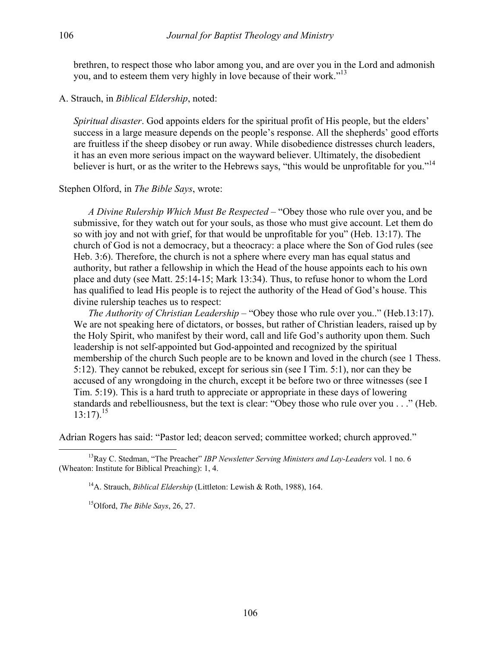brethren, to respect those who labor among you, and are over you in the Lord and admonish you, and to esteem them very highly in love because of their work."<sup>[13](#page-8-0)</sup>

A. Strauch, in *Biblical Eldership*, noted:

*Spiritual disaster*. God appoints elders for the spiritual profit of His people, but the elders' success in a large measure depends on the people's response. All the shepherds' good efforts are fruitless if the sheep disobey or run away. While disobedience distresses church leaders, it has an even more serious impact on the wayward believer. Ultimately, the disobedient believer is hurt, or as the writer to the Hebrews says, "this would be unprofitable for you."<sup>14</sup>

## Stephen Olford, in *The Bible Says*, wrote:

*A Divine Rulership Which Must Be Respected* – "Obey those who rule over you, and be submissive, for they watch out for your souls, as those who must give account. Let them do so with joy and not with grief, for that would be unprofitable for you" (Heb. 13:17). The church of God is not a democracy, but a theocracy: a place where the Son of God rules (see Heb. 3:6). Therefore, the church is not a sphere where every man has equal status and authority, but rather a fellowship in which the Head of the house appoints each to his own place and duty (see Matt. 25:14-15; Mark 13:34). Thus, to refuse honor to whom the Lord has qualified to lead His people is to reject the authority of the Head of God's house. This divine rulership teaches us to respect:

*The Authority of Christian Leadership* – "Obey those who rule over you.." (Heb.13:17). We are not speaking here of dictators, or bosses, but rather of Christian leaders, raised up by the Holy Spirit, who manifest by their word, call and life God's authority upon them. Such leadership is not self-appointed but God-appointed and recognized by the spiritual membership of the church Such people are to be known and loved in the church (see 1 Thess. 5:12). They cannot be rebuked, except for serious sin (see I Tim. 5:1), nor can they be accused of any wrongdoing in the church, except it be before two or three witnesses (see I Tim. 5:19). This is a hard truth to appreciate or appropriate in these days of lowering standards and rebelliousness, but the text is clear: "Obey those who rule over you . . ." (Heb.  $13:17$ ).<sup>[15](#page-8-2)</sup>

Adrian Rogers has said: "Pastor led; deacon served; committee worked; church approved."

<sup>13</sup>Ray C. Stedman, "The Preacher" *IBP Newsletter Serving Ministers and Lay-Leaders* vol. 1 no. 6 (Wheaton: Institute for Biblical Preaching): 1, 4.

<span id="page-8-1"></span><span id="page-8-0"></span><sup>14</sup>A. Strauch, *Biblical Eldership* (Littleton: Lewish & Roth, 1988), 164.

<span id="page-8-2"></span>15Olford, *The Bible Says*, 26, 27.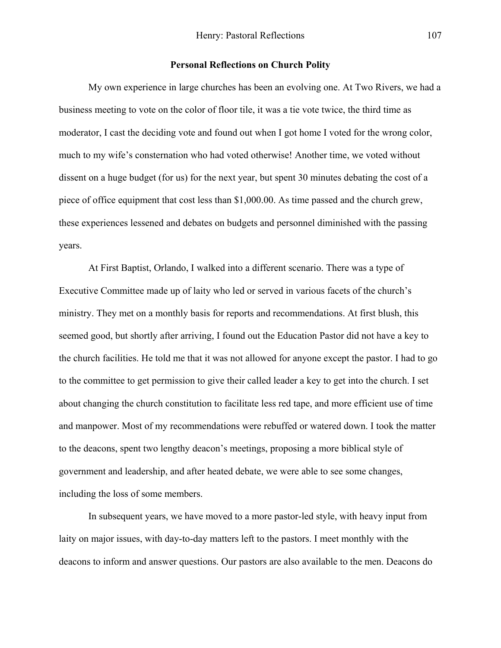#### **Personal Reflections on Church Polity**

My own experience in large churches has been an evolving one. At Two Rivers, we had a business meeting to vote on the color of floor tile, it was a tie vote twice, the third time as moderator, I cast the deciding vote and found out when I got home I voted for the wrong color, much to my wife's consternation who had voted otherwise! Another time, we voted without dissent on a huge budget (for us) for the next year, but spent 30 minutes debating the cost of a piece of office equipment that cost less than \$1,000.00. As time passed and the church grew, these experiences lessened and debates on budgets and personnel diminished with the passing years.

At First Baptist, Orlando, I walked into a different scenario. There was a type of Executive Committee made up of laity who led or served in various facets of the church's ministry. They met on a monthly basis for reports and recommendations. At first blush, this seemed good, but shortly after arriving, I found out the Education Pastor did not have a key to the church facilities. He told me that it was not allowed for anyone except the pastor. I had to go to the committee to get permission to give their called leader a key to get into the church. I set about changing the church constitution to facilitate less red tape, and more efficient use of time and manpower. Most of my recommendations were rebuffed or watered down. I took the matter to the deacons, spent two lengthy deacon's meetings, proposing a more biblical style of government and leadership, and after heated debate, we were able to see some changes, including the loss of some members.

In subsequent years, we have moved to a more pastor-led style, with heavy input from laity on major issues, with day-to-day matters left to the pastors. I meet monthly with the deacons to inform and answer questions. Our pastors are also available to the men. Deacons do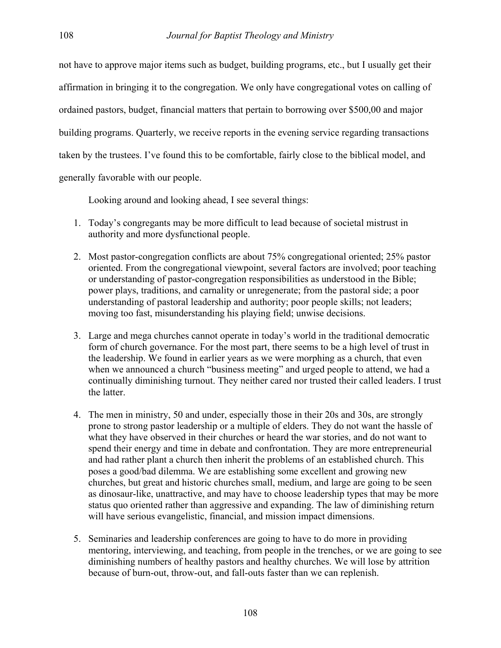not have to approve major items such as budget, building programs, etc., but I usually get their affirmation in bringing it to the congregation. We only have congregational votes on calling of ordained pastors, budget, financial matters that pertain to borrowing over \$500,00 and major building programs. Quarterly, we receive reports in the evening service regarding transactions taken by the trustees. I've found this to be comfortable, fairly close to the biblical model, and generally favorable with our people.

Looking around and looking ahead, I see several things:

- 1. Today's congregants may be more difficult to lead because of societal mistrust in authority and more dysfunctional people.
- 2. Most pastor-congregation conflicts are about 75% congregational oriented; 25% pastor oriented. From the congregational viewpoint, several factors are involved; poor teaching or understanding of pastor-congregation responsibilities as understood in the Bible; power plays, traditions, and carnality or unregenerate; from the pastoral side; a poor understanding of pastoral leadership and authority; poor people skills; not leaders; moving too fast, misunderstanding his playing field; unwise decisions.
- 3. Large and mega churches cannot operate in today's world in the traditional democratic form of church governance. For the most part, there seems to be a high level of trust in the leadership. We found in earlier years as we were morphing as a church, that even when we announced a church "business meeting" and urged people to attend, we had a continually diminishing turnout. They neither cared nor trusted their called leaders. I trust the latter.
- 4. The men in ministry, 50 and under, especially those in their 20s and 30s, are strongly prone to strong pastor leadership or a multiple of elders. They do not want the hassle of what they have observed in their churches or heard the war stories, and do not want to spend their energy and time in debate and confrontation. They are more entrepreneurial and had rather plant a church then inherit the problems of an established church. This poses a good/bad dilemma. We are establishing some excellent and growing new churches, but great and historic churches small, medium, and large are going to be seen as dinosaur-like, unattractive, and may have to choose leadership types that may be more status quo oriented rather than aggressive and expanding. The law of diminishing return will have serious evangelistic, financial, and mission impact dimensions.
- 5. Seminaries and leadership conferences are going to have to do more in providing mentoring, interviewing, and teaching, from people in the trenches, or we are going to see diminishing numbers of healthy pastors and healthy churches. We will lose by attrition because of burn-out, throw-out, and fall-outs faster than we can replenish.